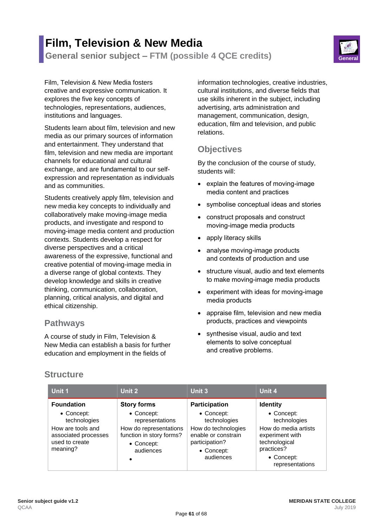# **Film, Television & New Media General senior subject – FTM (possible 4 QCE credits) General**



Film, Television & New Media fosters creative and expressive communication. It explores the five key concepts of technologies, representations, audiences, institutions and languages.

Students learn about film, television and new media as our primary sources of information and entertainment. They understand that film, television and new media are important channels for educational and cultural exchange, and are fundamental to our selfexpression and representation as individuals and as communities.

Students creatively apply film, television and new media key concepts to individually and collaboratively make moving-image media products, and investigate and respond to moving-image media content and production contexts. Students develop a respect for diverse perspectives and a critical awareness of the expressive, functional and creative potential of moving-image media in a diverse range of global contexts. They develop knowledge and skills in creative thinking, communication, collaboration, planning, critical analysis, and digital and ethical citizenship.

### **Pathways**

A course of study in Film, Television & New Media can establish a basis for further education and employment in the fields of

information technologies, creative industries, cultural institutions, and diverse fields that use skills inherent in the subject, including advertising, arts administration and management, communication, design, education, film and television, and public relations.

## **Objectives**

By the conclusion of the course of study, students will:

- explain the features of moving-image media content and practices
- symbolise conceptual ideas and stories
- construct proposals and construct moving-image media products
- apply literacy skills
- analyse moving-image products and contexts of production and use
- structure visual, audio and text elements to make moving-image media products
- experiment with ideas for moving-image media products
- appraise film, television and new media products, practices and viewpoints
- synthesise visual, audio and text elements to solve conceptual and creative problems.

| <b>Structure</b> |  |
|------------------|--|
|------------------|--|

| Unit 1                                                                                                                     | Unit 2                                                                                                                               | Unit 3                                                                                                                                        | Unit 4                                                                                                                                                   |
|----------------------------------------------------------------------------------------------------------------------------|--------------------------------------------------------------------------------------------------------------------------------------|-----------------------------------------------------------------------------------------------------------------------------------------------|----------------------------------------------------------------------------------------------------------------------------------------------------------|
| <b>Foundation</b><br>• Concept:<br>technologies<br>How are tools and<br>associated processes<br>used to create<br>meaning? | <b>Story forms</b><br>• Concept:<br>representations<br>How do representations<br>function in story forms?<br>• Concept:<br>audiences | <b>Participation</b><br>• Concept:<br>technologies<br>How do technologies<br>enable or constrain<br>participation?<br>• Concept:<br>audiences | <b>Identity</b><br>• Concept:<br>technologies<br>How do media artists<br>experiment with<br>technological<br>practices?<br>• Concept:<br>representations |